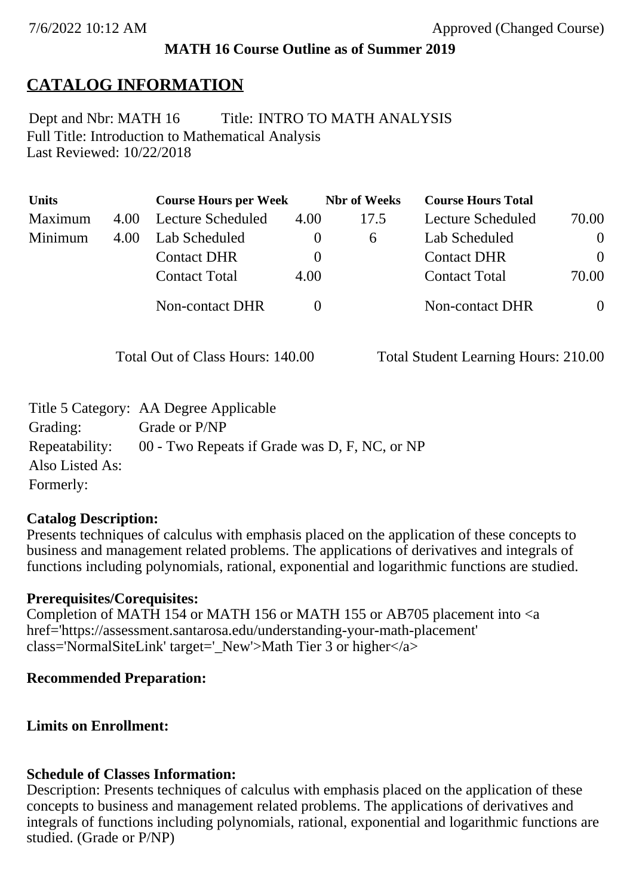### **MATH 16 Course Outline as of Summer 2019**

# **CATALOG INFORMATION**

Full Title: Introduction to Mathematical Analysis Last Reviewed: 10/22/2018 Dept and Nbr: MATH 16 Title: INTRO TO MATH ANALYSIS

| <b>Units</b> |      | <b>Course Hours per Week</b> |          | <b>Nbr</b> of Weeks | <b>Course Hours Total</b> |                |
|--------------|------|------------------------------|----------|---------------------|---------------------------|----------------|
| Maximum      | 4.00 | Lecture Scheduled            | 4.00     | 17.5                | Lecture Scheduled         | 70.00          |
| Minimum      | 4.00 | Lab Scheduled                | $\theta$ | $\sigma$            | Lab Scheduled             | $\overline{0}$ |
|              |      | <b>Contact DHR</b>           | $\theta$ |                     | <b>Contact DHR</b>        | $\theta$       |
|              |      | <b>Contact Total</b>         | 4.00     |                     | <b>Contact Total</b>      | 70.00          |
|              |      | Non-contact DHR              |          |                     | <b>Non-contact DHR</b>    | $\overline{0}$ |

Total Out of Class Hours: 140.00 Total Student Learning Hours: 210.00

|                 | Title 5 Category: AA Degree Applicable        |
|-----------------|-----------------------------------------------|
| Grading:        | Grade or P/NP                                 |
| Repeatability:  | 00 - Two Repeats if Grade was D, F, NC, or NP |
| Also Listed As: |                                               |
| Formerly:       |                                               |

#### **Catalog Description:**

Presents techniques of calculus with emphasis placed on the application of these concepts to business and management related problems. The applications of derivatives and integrals of functions including polynomials, rational, exponential and logarithmic functions are studied.

#### **Prerequisites/Corequisites:**

Completion of MATH 154 or MATH 156 or MATH 155 or AB705 placement into <a href='https://assessment.santarosa.edu/understanding-your-math-placement' class='NormalSiteLink' target=' New'>Math Tier 3 or higher $\langle a \rangle$ 

#### **Recommended Preparation:**

#### **Limits on Enrollment:**

#### **Schedule of Classes Information:**

Description: Presents techniques of calculus with emphasis placed on the application of these concepts to business and management related problems. The applications of derivatives and integrals of functions including polynomials, rational, exponential and logarithmic functions are studied. (Grade or P/NP)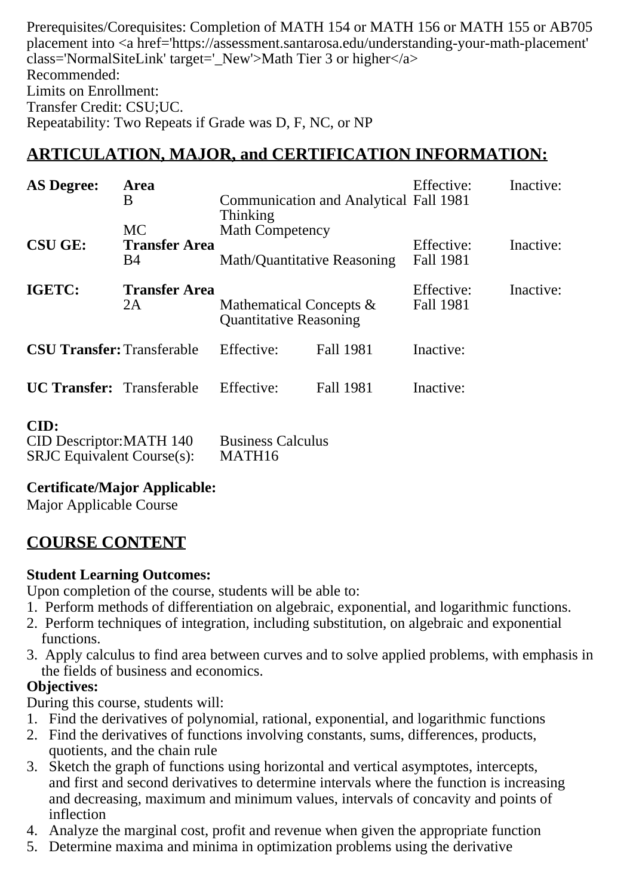Prerequisites/Corequisites: Completion of MATH 154 or MATH 156 or MATH 155 or AB705 placement into <a href='https://assessment.santarosa.edu/understanding-your-math-placement'  $class='NormalSiteLink' target='New' > Math Tier 3 or higher value$ Recommended: Limits on Enrollment: Transfer Credit: CSU;UC. Repeatability: Two Repeats if Grade was D, F, NC, or NP

# **ARTICULATION, MAJOR, and CERTIFICATION INFORMATION:**

| <b>AS Degree:</b>                 | Area<br>B                                       | Thinking                                                 | <b>Communication and Analytical Fall 1981</b> |                         | Inactive: |
|-----------------------------------|-------------------------------------------------|----------------------------------------------------------|-----------------------------------------------|-------------------------|-----------|
| <b>CSU GE:</b>                    | <b>MC</b><br><b>Transfer Area</b><br><b>B</b> 4 | <b>Math Competency</b><br>Math/Quantitative Reasoning    |                                               | Effective:<br>Fall 1981 | Inactive: |
| IGETC:                            | <b>Transfer Area</b><br>2A                      | Mathematical Concepts &<br><b>Quantitative Reasoning</b> |                                               | Effective:<br>Fall 1981 | Inactive: |
| <b>CSU Transfer: Transferable</b> |                                                 | Effective:                                               | Fall 1981                                     | Inactive:               |           |
| <b>UC Transfer:</b> Transferable  |                                                 | Effective:                                               | <b>Fall 1981</b>                              | Inactive:               |           |
| CID:                              |                                                 |                                                          |                                               |                         |           |

| <b>CID Descriptor: MATH 140</b>   | <b>Business Calculus</b> |
|-----------------------------------|--------------------------|
| <b>SRJC</b> Equivalent Course(s): | MATH16                   |

#### **Certificate/Major Applicable:**

[Major Applicable Course](SR_ClassCheck.aspx?CourseKey=MATH16)

# **COURSE CONTENT**

# **Student Learning Outcomes:**

Upon completion of the course, students will be able to:

- 1. Perform methods of differentiation on algebraic, exponential, and logarithmic functions.
- 2. Perform techniques of integration, including substitution, on algebraic and exponential functions.
- 3. Apply calculus to find area between curves and to solve applied problems, with emphasis in the fields of business and economics.

# **Objectives:**

During this course, students will:

- 1. Find the derivatives of polynomial, rational, exponential, and logarithmic functions
- 2. Find the derivatives of functions involving constants, sums, differences, products, quotients, and the chain rule
- 3. Sketch the graph of functions using horizontal and vertical asymptotes, intercepts, and first and second derivatives to determine intervals where the function is increasing and decreasing, maximum and minimum values, intervals of concavity and points of inflection
- 4. Analyze the marginal cost, profit and revenue when given the appropriate function
- 5. Determine maxima and minima in optimization problems using the derivative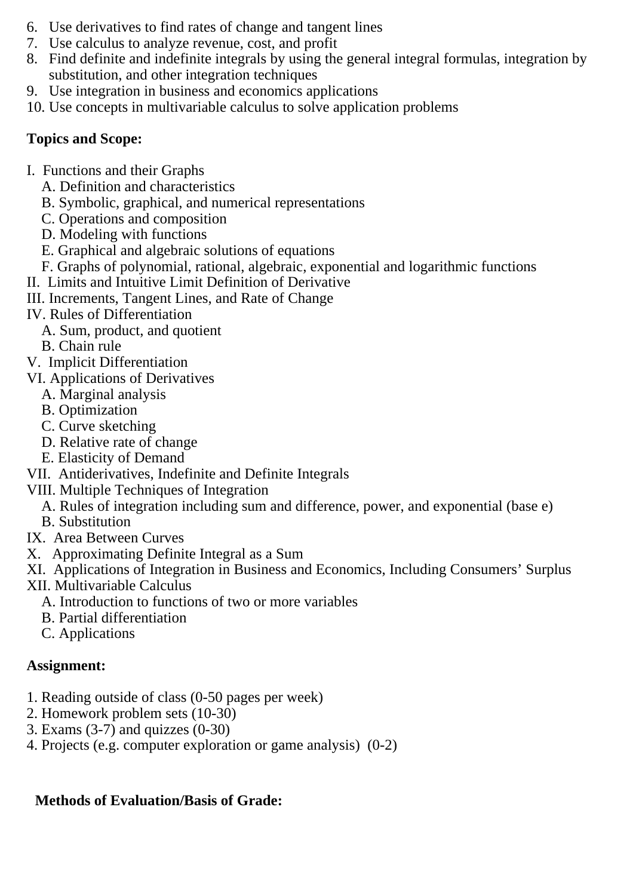- 6. Use derivatives to find rates of change and tangent lines
- 7. Use calculus to analyze revenue, cost, and profit
- 8. Find definite and indefinite integrals by using the general integral formulas, integration by substitution, and other integration techniques
- 9. Use integration in business and economics applications
- 10. Use concepts in multivariable calculus to solve application problems

# **Topics and Scope:**

- I. Functions and their Graphs
	- A. Definition and characteristics
	- B. Symbolic, graphical, and numerical representations
	- C. Operations and composition
	- D. Modeling with functions
	- E. Graphical and algebraic solutions of equations
	- F. Graphs of polynomial, rational, algebraic, exponential and logarithmic functions
- II. Limits and Intuitive Limit Definition of Derivative
- III. Increments, Tangent Lines, and Rate of Change
- IV. Rules of Differentiation
	- A. Sum, product, and quotient
	- B. Chain rule
- V. Implicit Differentiation
- VI. Applications of Derivatives
	- A. Marginal analysis
	- B. Optimization
	- C. Curve sketching
	- D. Relative rate of change
	- E. Elasticity of Demand
- VII. Antiderivatives, Indefinite and Definite Integrals
- VIII. Multiple Techniques of Integration
	- A. Rules of integration including sum and difference, power, and exponential (base e)
	- B. Substitution
- IX. Area Between Curves
- X. Approximating Definite Integral as a Sum
- XI. Applications of Integration in Business and Economics, Including Consumers' Surplus
- XII. Multivariable Calculus
	- A. Introduction to functions of two or more variables
	- B. Partial differentiation
	- C. Applications

# **Assignment:**

- 1. Reading outside of class (0-50 pages per week)
- 2. Homework problem sets (10-30)
- 3. Exams  $(3-7)$  and quizzes  $(0-30)$
- 4. Projects (e.g. computer exploration or game analysis) (0-2)

# **Methods of Evaluation/Basis of Grade:**